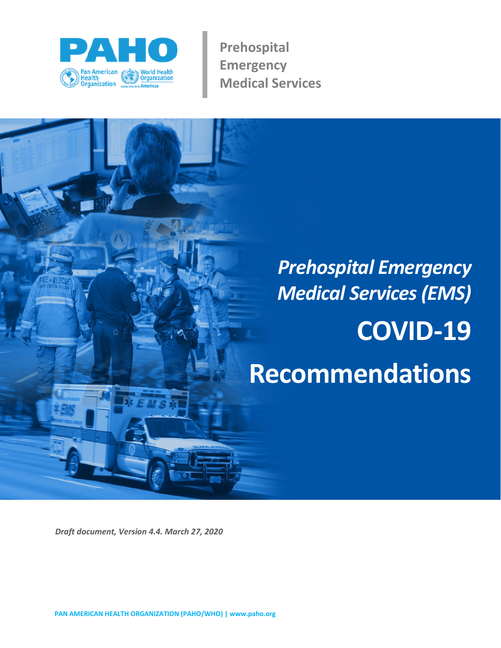

**Prehospital Emergency Medical Services** 

# *Prehospital Emergency Medical Services(EMS)* **COVID-19 Recommendations**

*Draft document, Version 4.4. March 27, 2020*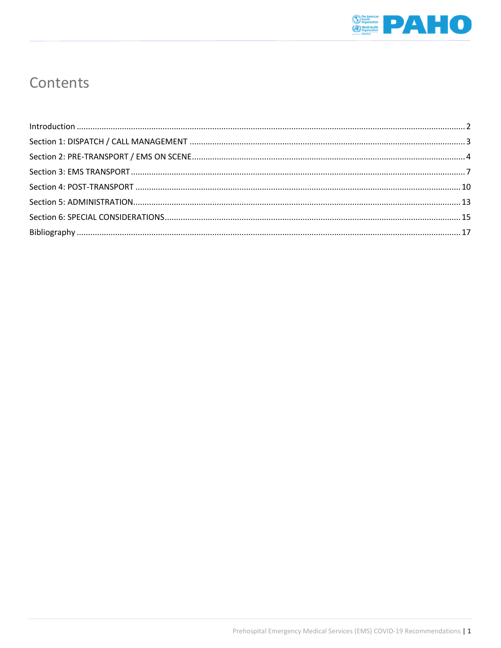

# Contents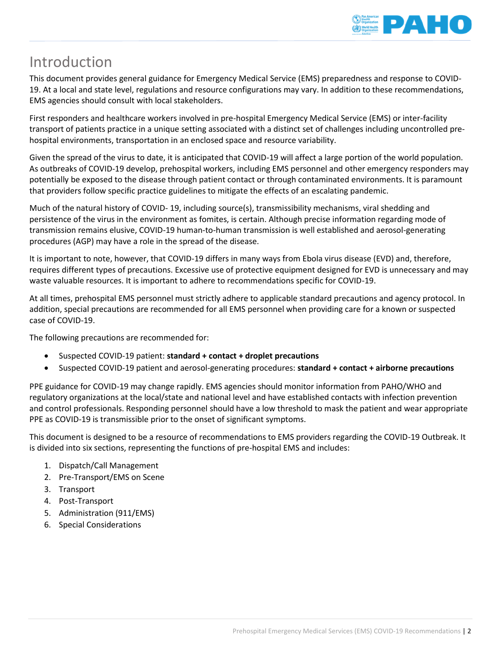

# <span id="page-2-0"></span>Introduction

This document provides general guidance for Emergency Medical Service (EMS) preparedness and response to COVID-19. At a local and state level, regulations and resource configurations may vary. In addition to these recommendations, EMS agencies should consult with local stakeholders.

First responders and healthcare workers involved in pre-hospital Emergency Medical Service (EMS) or inter-facility transport of patients practice in a unique setting associated with a distinct set of challenges including uncontrolled prehospital environments, transportation in an enclosed space and resource variability.

Given the spread of the virus to date, it is anticipated that COVID-19 will affect a large portion of the world population. As outbreaks of COVID-19 develop, prehospital workers, including EMS personnel and other emergency responders may potentially be exposed to the disease through patient contact or through contaminated environments. It is paramount that providers follow specific practice guidelines to mitigate the effects of an escalating pandemic.

Much of the natural history of COVID- 19, including source(s), transmissibility mechanisms, viral shedding and persistence of the virus in the environment as fomites, is certain. Although precise information regarding mode of transmission remains elusive, COVID-19 human-to-human transmission is well established and aerosol-generating procedures (AGP) may have a role in the spread of the disease.

It is important to note, however, that COVID-19 differs in many ways from Ebola virus disease (EVD) and, therefore, requires different types of precautions. Excessive use of protective equipment designed for EVD is unnecessary and may waste valuable resources. It is important to adhere to recommendations specific for COVID-19.

At all times, prehospital EMS personnel must strictly adhere to applicable standard precautions and agency protocol. In addition, special precautions are recommended for all EMS personnel when providing care for a known or suspected case of COVID-19.

The following precautions are recommended for:

- Suspected COVID-19 patient: **standard + contact + droplet precautions**
- Suspected COVID-19 patient and aerosol-generating procedures: **standard + contact + airborne precautions**

PPE guidance for COVID-19 may change rapidly. EMS agencies should monitor information from PAHO/WHO and regulatory organizations at the local/state and national level and have established contacts with infection prevention and control professionals. Responding personnel should have a low threshold to mask the patient and wear appropriate PPE as COVID-19 is transmissible prior to the onset of significant symptoms.

This document is designed to be a resource of recommendations to EMS providers regarding the COVID-19 Outbreak. It is divided into six sections, representing the functions of pre-hospital EMS and includes:

- 1. Dispatch/Call Management
- 2. Pre-Transport/EMS on Scene
- 3. Transport
- 4. Post-Transport
- 5. Administration (911/EMS)
- 6. Special Considerations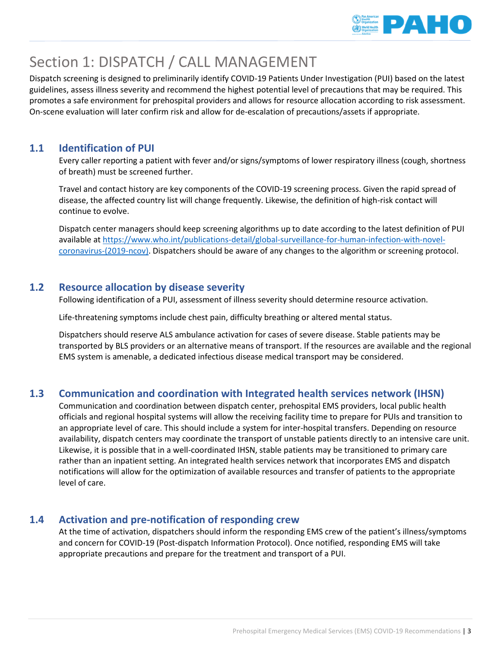

# <span id="page-3-0"></span>Section 1: DISPATCH / CALL MANAGEMENT

Dispatch screening is designed to preliminarily identify COVID-19 Patients Under Investigation (PUI) based on the latest guidelines, assess illness severity and recommend the highest potential level of precautions that may be required. This promotes a safe environment for prehospital providers and allows for resource allocation according to risk assessment. On-scene evaluation will later confirm risk and allow for de-escalation of precautions/assets if appropriate.

# **1.1 Identification of PUI**

Every caller reporting a patient with fever and/or signs/symptoms of lower respiratory illness (cough, shortness of breath) must be screened further.

Travel and contact history are key components of the COVID-19 screening process. Given the rapid spread of disease, the affected country list will change frequently. Likewise, the definition of high-risk contact will continue to evolve.

Dispatch center managers should keep screening algorithms up to date according to the latest definition of PUI available at [https://www.who.int/publications-detail/global-surveillance-for-human-infection-with-novel](https://www.who.int/publications-detail/global-surveillance-for-human-infection-with-novel-coronavirus-(2019-ncov))[coronavirus-\(2019-ncov\).](https://www.who.int/publications-detail/global-surveillance-for-human-infection-with-novel-coronavirus-(2019-ncov)) Dispatchers should be aware of any changes to the algorithm or screening protocol.

# **1.2 Resource allocation by disease severity**

Following identification of a PUI, assessment of illness severity should determine resource activation.

Life-threatening symptoms include chest pain, difficulty breathing or altered mental status.

Dispatchers should reserve ALS ambulance activation for cases of severe disease. Stable patients may be transported by BLS providers or an alternative means of transport. If the resources are available and the regional EMS system is amenable, a dedicated infectious disease medical transport may be considered.

# **1.3 Communication and coordination with Integrated health services network (IHSN)**

Communication and coordination between dispatch center, prehospital EMS providers, local public health officials and regional hospital systems will allow the receiving facility time to prepare for PUIs and transition to an appropriate level of care. This should include a system for inter-hospital transfers. Depending on resource availability, dispatch centers may coordinate the transport of unstable patients directly to an intensive care unit. Likewise, it is possible that in a well-coordinated IHSN, stable patients may be transitioned to primary care rather than an inpatient setting. An integrated health services network that incorporates EMS and dispatch notifications will allow for the optimization of available resources and transfer of patients to the appropriate level of care.

# **1.4 Activation and pre-notification of responding crew**

At the time of activation, dispatchers should inform the responding EMS crew of the patient's illness/symptoms and concern for COVID-19 (Post-dispatch Information Protocol). Once notified, responding EMS will take appropriate precautions and prepare for the treatment and transport of a PUI.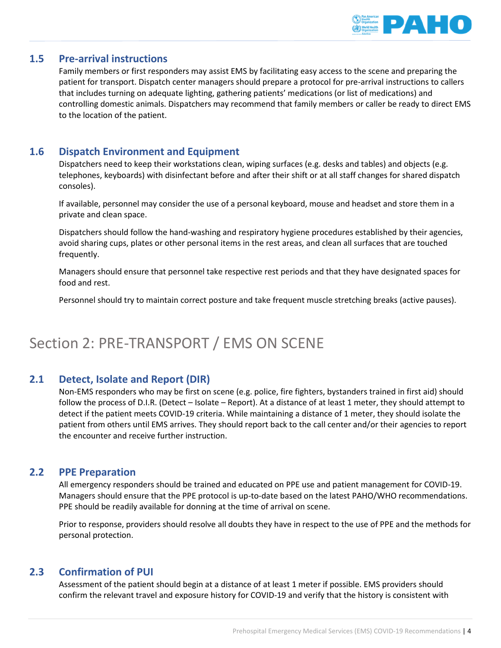

# **1.5 Pre-arrival instructions**

Family members or first responders may assist EMS by facilitating easy access to the scene and preparing the patient for transport. Dispatch center managers should prepare a protocol for pre-arrival instructions to callers that includes turning on adequate lighting, gathering patients' medications (or list of medications) and controlling domestic animals. Dispatchers may recommend that family members or caller be ready to direct EMS to the location of the patient.

# **1.6 Dispatch Environment and Equipment**

Dispatchers need to keep their workstations clean, wiping surfaces (e.g. desks and tables) and objects (e.g. telephones, keyboards) with disinfectant before and after their shift or at all staff changes for shared dispatch consoles).

If available, personnel may consider the use of a personal keyboard, mouse and headset and store them in a private and clean space.

Dispatchers should follow the hand-washing and respiratory hygiene procedures established by their agencies, avoid sharing cups, plates or other personal items in the rest areas, and clean all surfaces that are touched frequently.

Managers should ensure that personnel take respective rest periods and that they have designated spaces for food and rest.

Personnel should try to maintain correct posture and take frequent muscle stretching breaks (active pauses).

# <span id="page-4-0"></span>Section 2: PRE-TRANSPORT / EMS ON SCENE

# **2.1 Detect, Isolate and Report (DIR)**

Non-EMS responders who may be first on scene (e.g. police, fire fighters, bystanders trained in first aid) should follow the process of D.I.R. (Detect – Isolate – Report). At a distance of at least 1 meter, they should attempt to detect if the patient meets COVID-19 criteria. While maintaining a distance of 1 meter, they should isolate the patient from others until EMS arrives. They should report back to the call center and/or their agencies to report the encounter and receive further instruction.

# **2.2 PPE Preparation**

All emergency responders should be trained and educated on PPE use and patient management for COVID-19. Managers should ensure that the PPE protocol is up-to-date based on the latest PAHO/WHO recommendations. PPE should be readily available for donning at the time of arrival on scene.

Prior to response, providers should resolve all doubts they have in respect to the use of PPE and the methods for personal protection.

# **2.3 Confirmation of PUI**

Assessment of the patient should begin at a distance of at least 1 meter if possible. EMS providers should confirm the relevant travel and exposure history for COVID-19 and verify that the history is consistent with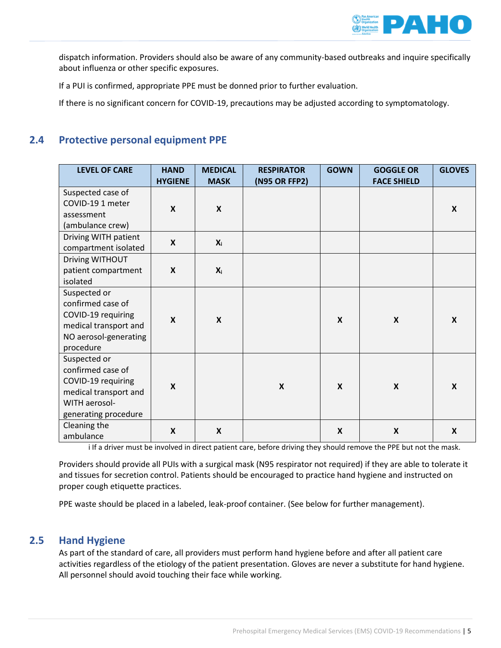

dispatch information. Providers should also be aware of any community-based outbreaks and inquire specifically about influenza or other specific exposures.

If a PUI is confirmed, appropriate PPE must be donned prior to further evaluation.

If there is no significant concern for COVID-19, precautions may be adjusted according to symptomatology.

# **2.4 Protective personal equipment PPE**

| <b>LEVEL OF CARE</b>  | <b>HAND</b><br><b>HYGIENE</b> | <b>MEDICAL</b><br><b>MASK</b> | <b>RESPIRATOR</b><br>(N95 OR FFP2) | <b>GOWN</b>               | <b>GOGGLE OR</b><br><b>FACE SHIELD</b> | <b>GLOVES</b>             |
|-----------------------|-------------------------------|-------------------------------|------------------------------------|---------------------------|----------------------------------------|---------------------------|
| Suspected case of     |                               |                               |                                    |                           |                                        |                           |
| COVID-19 1 meter      | $\boldsymbol{x}$              | $\mathsf{x}$                  |                                    |                           |                                        |                           |
| assessment            |                               |                               |                                    |                           |                                        | $\boldsymbol{x}$          |
| (ambulance crew)      |                               |                               |                                    |                           |                                        |                           |
| Driving WITH patient  | $\mathbf{x}$                  |                               |                                    |                           |                                        |                           |
| compartment isolated  |                               | $X_i$                         |                                    |                           |                                        |                           |
| Driving WITHOUT       |                               |                               |                                    |                           |                                        |                           |
| patient compartment   | $\boldsymbol{\mathsf{x}}$     | $X_i$                         |                                    |                           |                                        |                           |
| isolated              |                               |                               |                                    |                           |                                        |                           |
| Suspected or          | $\boldsymbol{x}$              | $\boldsymbol{x}$              |                                    |                           |                                        |                           |
| confirmed case of     |                               |                               |                                    |                           |                                        |                           |
| COVID-19 requiring    |                               |                               |                                    | X                         | $\boldsymbol{\mathsf{x}}$              | $\boldsymbol{x}$          |
| medical transport and |                               |                               |                                    |                           |                                        |                           |
| NO aerosol-generating |                               |                               |                                    |                           |                                        |                           |
| procedure             |                               |                               |                                    |                           |                                        |                           |
| Suspected or          | $\boldsymbol{\mathsf{X}}$     |                               |                                    |                           |                                        |                           |
| confirmed case of     |                               |                               | $\boldsymbol{\mathsf{X}}$          | $\boldsymbol{\mathsf{X}}$ | $\boldsymbol{\mathsf{X}}$              | $\boldsymbol{\mathsf{X}}$ |
| COVID-19 requiring    |                               |                               |                                    |                           |                                        |                           |
| medical transport and |                               |                               |                                    |                           |                                        |                           |
| WITH aerosol-         |                               |                               |                                    |                           |                                        |                           |
| generating procedure  |                               |                               |                                    |                           |                                        |                           |
| Cleaning the          | $\boldsymbol{\mathsf{X}}$     | $\boldsymbol{\mathsf{x}}$     |                                    | $\boldsymbol{\mathsf{x}}$ | $\boldsymbol{\mathsf{X}}$              | $\boldsymbol{\mathsf{X}}$ |
| ambulance             |                               |                               |                                    |                           |                                        |                           |

i If a driver must be involved in direct patient care, before driving they should remove the PPE but not the mask.

Providers should provide all PUIs with a surgical mask (N95 respirator not required) if they are able to tolerate it and tissues for secretion control. Patients should be encouraged to practice hand hygiene and instructed on proper cough etiquette practices.

PPE waste should be placed in a labeled, leak-proof container. (See below for further management).

## **2.5 Hand Hygiene**

As part of the standard of care, all providers must perform hand hygiene before and after all patient care activities regardless of the etiology of the patient presentation. Gloves are never a substitute for hand hygiene. All personnel should avoid touching their face while working.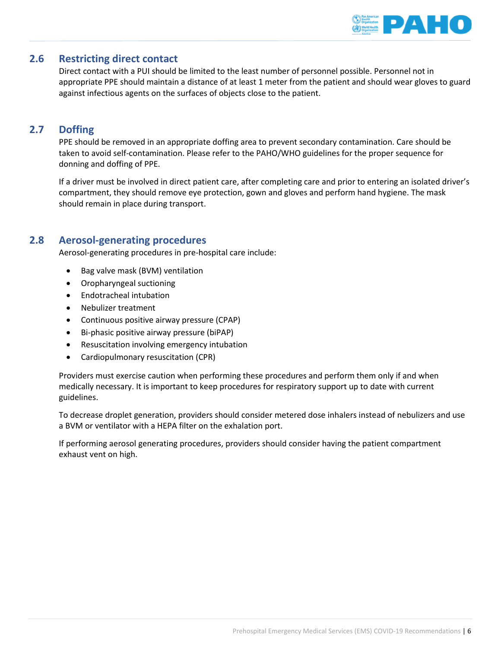

# **2.6 Restricting direct contact**

Direct contact with a PUI should be limited to the least number of personnel possible. Personnel not in appropriate PPE should maintain a distance of at least 1 meter from the patient and should wear gloves to guard against infectious agents on the surfaces of objects close to the patient.

# **2.7 Doffing**

PPE should be removed in an appropriate doffing area to prevent secondary contamination. Care should be taken to avoid self-contamination. Please refer to the PAHO/WHO guidelines for the proper sequence for donning and doffing of PPE.

If a driver must be involved in direct patient care, after completing care and prior to entering an isolated driver's compartment, they should remove eye protection, gown and gloves and perform hand hygiene. The mask should remain in place during transport.

# **2.8 Aerosol-generating procedures**

Aerosol-generating procedures in pre-hospital care include:

- Bag valve mask (BVM) ventilation
- Oropharyngeal suctioning
- Endotracheal intubation
- Nebulizer treatment
- Continuous positive airway pressure (CPAP)
- Bi-phasic positive airway pressure (biPAP)
- Resuscitation involving emergency intubation
- Cardiopulmonary resuscitation (CPR)

Providers must exercise caution when performing these procedures and perform them only if and when medically necessary. It is important to keep procedures for respiratory support up to date with current guidelines.

To decrease droplet generation, providers should consider metered dose inhalers instead of nebulizers and use a BVM or ventilator with a HEPA filter on the exhalation port.

If performing aerosol generating procedures, providers should consider having the patient compartment exhaust vent on high.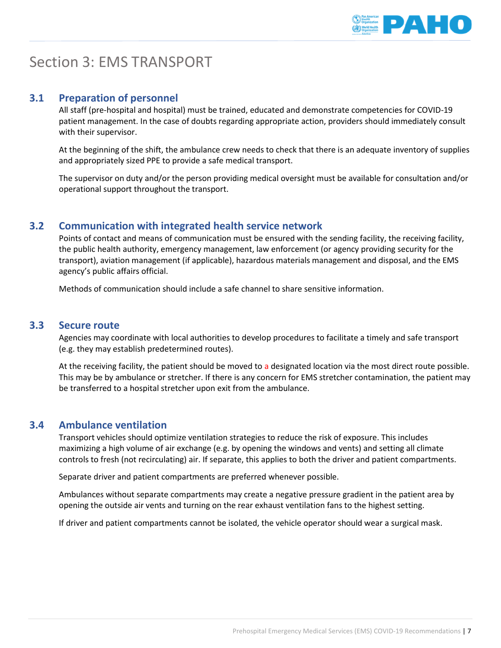

# <span id="page-7-0"></span>Section 3: EMS TRANSPORT

# **3.1 Preparation of personnel**

All staff (pre-hospital and hospital) must be trained, educated and demonstrate competencies for COVID-19 patient management. In the case of doubts regarding appropriate action, providers should immediately consult with their supervisor.

At the beginning of the shift, the ambulance crew needs to check that there is an adequate inventory of supplies and appropriately sized PPE to provide a safe medical transport.

The supervisor on duty and/or the person providing medical oversight must be available for consultation and/or operational support throughout the transport.

# **3.2 Communication with integrated health service network**

Points of contact and means of communication must be ensured with the sending facility, the receiving facility, the public health authority, emergency management, law enforcement (or agency providing security for the transport), aviation management (if applicable), hazardous materials management and disposal, and the EMS agency's public affairs official.

Methods of communication should include a safe channel to share sensitive information.

### **3.3 Secure route**

Agencies may coordinate with local authorities to develop procedures to facilitate a timely and safe transport (e.g. they may establish predetermined routes).

At the receiving facility, the patient should be moved to a designated location via the most direct route possible. This may be by ambulance or stretcher. If there is any concern for EMS stretcher contamination, the patient may be transferred to a hospital stretcher upon exit from the ambulance.

# **3.4 Ambulance ventilation**

Transport vehicles should optimize ventilation strategies to reduce the risk of exposure. This includes maximizing a high volume of air exchange (e.g. by opening the windows and vents) and setting all climate controls to fresh (not recirculating) air. If separate, this applies to both the driver and patient compartments.

Separate driver and patient compartments are preferred whenever possible.

Ambulances without separate compartments may create a negative pressure gradient in the patient area by opening the outside air vents and turning on the rear exhaust ventilation fans to the highest setting.

If driver and patient compartments cannot be isolated, the vehicle operator should wear a surgical mask.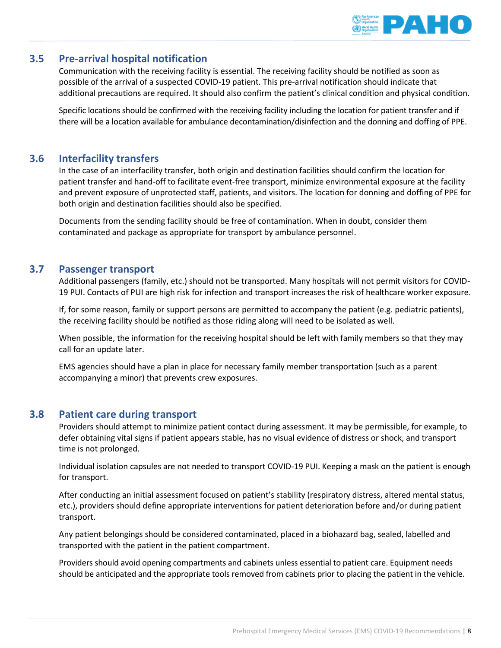

# **3.5 Pre-arrival hospital notification**

Communication with the receiving facility is essential. The receiving facility should be notified as soon as possible of the arrival of a suspected COVID-19 patient. This pre-arrival notification should indicate that additional precautions are required. It should also confirm the patient's clinical condition and physical condition.

Specific locations should be confirmed with the receiving facility including the location for patient transfer and if there will be a location available for ambulance decontamination/disinfection and the donning and doffing of PPE.

# **3.6 Interfacility transfers**

In the case of an interfacility transfer, both origin and destination facilities should confirm the location for patient transfer and hand-off to facilitate event-free transport, minimize environmental exposure at the facility and prevent exposure of unprotected staff, patients, and visitors. The location for donning and doffing of PPE for both origin and destination facilities should also be specified.

Documents from the sending facility should be free of contamination. When in doubt, consider them contaminated and package as appropriate for transport by ambulance personnel.

## **3.7 Passenger transport**

Additional passengers (family, etc.) should not be transported. Many hospitals will not permit visitors for COVID-19 PUI. Contacts of PUI are high risk for infection and transport increases the risk of healthcare worker exposure.

If, for some reason, family or support persons are permitted to accompany the patient (e.g. pediatric patients), the receiving facility should be notified as those riding along will need to be isolated as well.

When possible, the information for the receiving hospital should be left with family members so that they may call for an update later.

EMS agencies should have a plan in place for necessary family member transportation (such as a parent accompanying a minor) that prevents crew exposures.

# **3.8 Patient care during transport**

Providers should attempt to minimize patient contact during assessment. It may be permissible, for example, to defer obtaining vital signs if patient appears stable, has no visual evidence of distress or shock, and transport time is not prolonged.

Individual isolation capsules are not needed to transport COVID-19 PUI. Keeping a mask on the patient is enough for transport.

After conducting an initial assessment focused on patient's stability (respiratory distress, altered mental status, etc.), providers should define appropriate interventions for patient deterioration before and/or during patient transport.

Any patient belongings should be considered contaminated, placed in a biohazard bag, sealed, labelled and transported with the patient in the patient compartment.

Providers should avoid opening compartments and cabinets unless essential to patient care. Equipment needs should be anticipated and the appropriate tools removed from cabinets prior to placing the patient in the vehicle.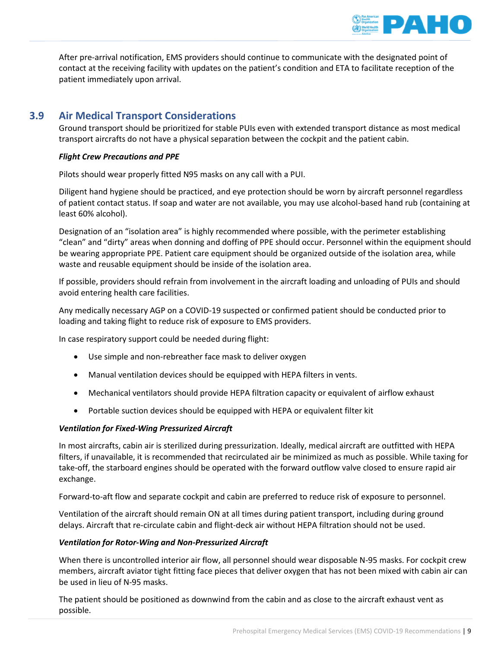

After pre-arrival notification, EMS providers should continue to communicate with the designated point of contact at the receiving facility with updates on the patient's condition and ETA to facilitate reception of the patient immediately upon arrival.

# **3.9 Air Medical Transport Considerations**

Ground transport should be prioritized for stable PUIs even with extended transport distance as most medical transport aircrafts do not have a physical separation between the cockpit and the patient cabin.

#### *Flight Crew Precautions and PPE*

Pilots should wear properly fitted N95 masks on any call with a PUI.

Diligent hand hygiene should be practiced, and eye protection should be worn by aircraft personnel regardless of patient contact status. If soap and water are not available, you may use alcohol-based hand rub (containing at least 60% alcohol).

Designation of an "isolation area" is highly recommended where possible, with the perimeter establishing "clean" and "dirty" areas when donning and doffing of PPE should occur. Personnel within the equipment should be wearing appropriate PPE. Patient care equipment should be organized outside of the isolation area, while waste and reusable equipment should be inside of the isolation area.

If possible, providers should refrain from involvement in the aircraft loading and unloading of PUIs and should avoid entering health care facilities.

Any medically necessary AGP on a COVID-19 suspected or confirmed patient should be conducted prior to loading and taking flight to reduce risk of exposure to EMS providers.

In case respiratory support could be needed during flight:

- Use simple and non-rebreather face mask to deliver oxygen
- Manual ventilation devices should be equipped with HEPA filters in vents.
- Mechanical ventilators should provide HEPA filtration capacity or equivalent of airflow exhaust
- Portable suction devices should be equipped with HEPA or equivalent filter kit

#### *Ventilation for Fixed-Wing Pressurized Aircraft*

In most aircrafts, cabin air is sterilized during pressurization. Ideally, medical aircraft are outfitted with HEPA filters, if unavailable, it is recommended that recirculated air be minimized as much as possible. While taxing for take-off, the starboard engines should be operated with the forward outflow valve closed to ensure rapid air exchange.

Forward-to-aft flow and separate cockpit and cabin are preferred to reduce risk of exposure to personnel.

Ventilation of the aircraft should remain ON at all times during patient transport, including during ground delays. Aircraft that re-circulate cabin and flight-deck air without HEPA filtration should not be used.

#### *Ventilation for Rotor-Wing and Non-Pressurized Aircraft*

When there is uncontrolled interior air flow, all personnel should wear disposable N-95 masks. For cockpit crew members, aircraft aviator tight fitting face pieces that deliver oxygen that has not been mixed with cabin air can be used in lieu of N-95 masks.

The patient should be positioned as downwind from the cabin and as close to the aircraft exhaust vent as possible.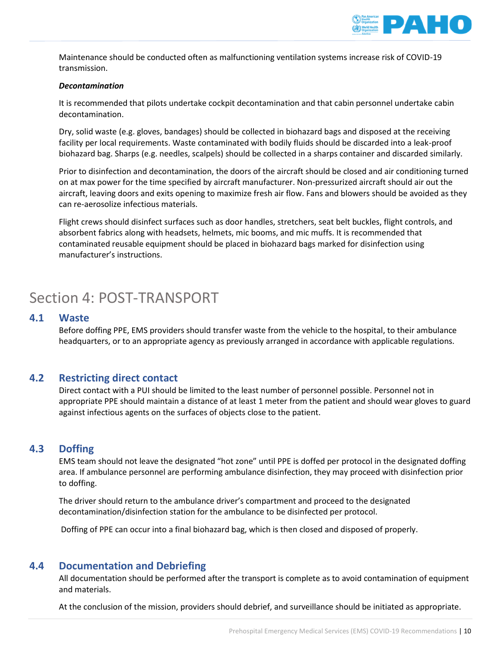

Maintenance should be conducted often as malfunctioning ventilation systems increase risk of COVID-19 transmission.

#### *Decontamination*

It is recommended that pilots undertake cockpit decontamination and that cabin personnel undertake cabin decontamination.

Dry, solid waste (e.g. gloves, bandages) should be collected in biohazard bags and disposed at the receiving facility per local requirements. Waste contaminated with bodily fluids should be discarded into a leak-proof biohazard bag. Sharps (e.g. needles, scalpels) should be collected in a sharps container and discarded similarly.

Prior to disinfection and decontamination, the doors of the aircraft should be closed and air conditioning turned on at max power for the time specified by aircraft manufacturer. Non-pressurized aircraft should air out the aircraft, leaving doors and exits opening to maximize fresh air flow. Fans and blowers should be avoided as they can re-aerosolize infectious materials.

Flight crews should disinfect surfaces such as door handles, stretchers, seat belt buckles, flight controls, and absorbent fabrics along with headsets, helmets, mic booms, and mic muffs. It is recommended that contaminated reusable equipment should be placed in biohazard bags marked for disinfection using manufacturer's instructions.

# <span id="page-10-0"></span>Section 4: POST-TRANSPORT

## **4.1 Waste**

Before doffing PPE, EMS providers should transfer waste from the vehicle to the hospital, to their ambulance headquarters, or to an appropriate agency as previously arranged in accordance with applicable regulations.

## **4.2 Restricting direct contact**

Direct contact with a PUI should be limited to the least number of personnel possible. Personnel not in appropriate PPE should maintain a distance of at least 1 meter from the patient and should wear gloves to guard against infectious agents on the surfaces of objects close to the patient.

# **4.3 Doffing**

EMS team should not leave the designated "hot zone" until PPE is doffed per protocol in the designated doffing area. If ambulance personnel are performing ambulance disinfection, they may proceed with disinfection prior to doffing.

The driver should return to the ambulance driver's compartment and proceed to the designated decontamination/disinfection station for the ambulance to be disinfected per protocol.

Doffing of PPE can occur into a final biohazard bag, which is then closed and disposed of properly.

## **4.4 Documentation and Debriefing**

All documentation should be performed after the transport is complete as to avoid contamination of equipment and materials.

At the conclusion of the mission, providers should debrief, and surveillance should be initiated as appropriate.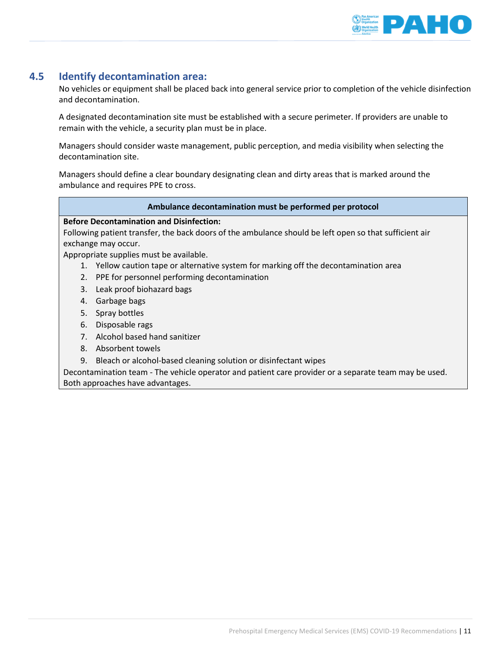

# **4.5 Identify decontamination area:**

No vehicles or equipment shall be placed back into general service prior to completion of the vehicle disinfection and decontamination.

A designated decontamination site must be established with a secure perimeter. If providers are unable to remain with the vehicle, a security plan must be in place.

Managers should consider waste management, public perception, and media visibility when selecting the decontamination site.

Managers should define a clear boundary designating clean and dirty areas that is marked around the ambulance and requires PPE to cross.

#### **Ambulance decontamination must be performed per protocol**

#### **Before Decontamination and Disinfection:**

Following patient transfer, the back doors of the ambulance should be left open so that sufficient air exchange may occur.

Appropriate supplies must be available.

- 1. Yellow caution tape or alternative system for marking off the decontamination area
- 2. PPE for personnel performing decontamination
- 3. Leak proof biohazard bags
- 4. Garbage bags
- 5. Spray bottles
- 6. Disposable rags
- 7. Alcohol based hand sanitizer
- 8. Absorbent towels
- 9. Bleach or alcohol-based cleaning solution or disinfectant wipes

Decontamination team - The vehicle operator and patient care provider or a separate team may be used. Both approaches have advantages.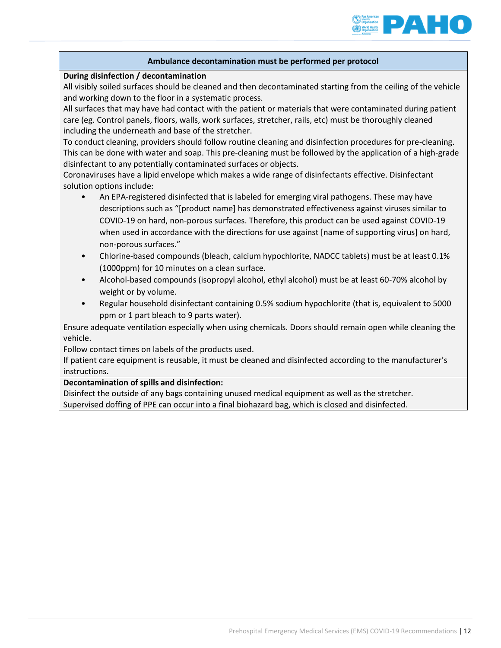

#### **Ambulance decontamination must be performed per protocol**

#### **During disinfection / decontamination**

All visibly soiled surfaces should be cleaned and then decontaminated starting from the ceiling of the vehicle and working down to the floor in a systematic process.

All surfaces that may have had contact with the patient or materials that were contaminated during patient care (eg. Control panels, floors, walls, work surfaces, stretcher, rails, etc) must be thoroughly cleaned including the underneath and base of the stretcher.

To conduct cleaning, providers should follow routine cleaning and disinfection procedures for pre-cleaning. This can be done with water and soap. This pre-cleaning must be followed by the application of a high-grade disinfectant to any potentially contaminated surfaces or objects.

Coronaviruses have a lipid envelope which makes a wide range of disinfectants effective. Disinfectant solution options include:

- An EPA-registered disinfected that is labeled for emerging viral pathogens. These may have descriptions such as "[product name] has demonstrated effectiveness against viruses similar to COVID-19 on hard, non-porous surfaces. Therefore, this product can be used against COVID-19 when used in accordance with the directions for use against [name of supporting virus] on hard, non-porous surfaces."
- Chlorine-based compounds (bleach, calcium hypochlorite, NADCC tablets) must be at least 0.1% (1000ppm) for 10 minutes on a clean surface.
- Alcohol-based compounds (isopropyl alcohol, ethyl alcohol) must be at least 60-70% alcohol by weight or by volume.
- Regular household disinfectant containing 0.5% sodium hypochlorite (that is, equivalent to 5000 ppm or 1 part bleach to 9 parts water).

Ensure adequate ventilation especially when using chemicals. Doors should remain open while cleaning the vehicle.

Follow contact times on labels of the products used.

If patient care equipment is reusable, it must be cleaned and disinfected according to the manufacturer's instructions.

#### **Decontamination of spills and disinfection:**

Disinfect the outside of any bags containing unused medical equipment as well as the stretcher. Supervised doffing of PPE can occur into a final biohazard bag, which is closed and disinfected.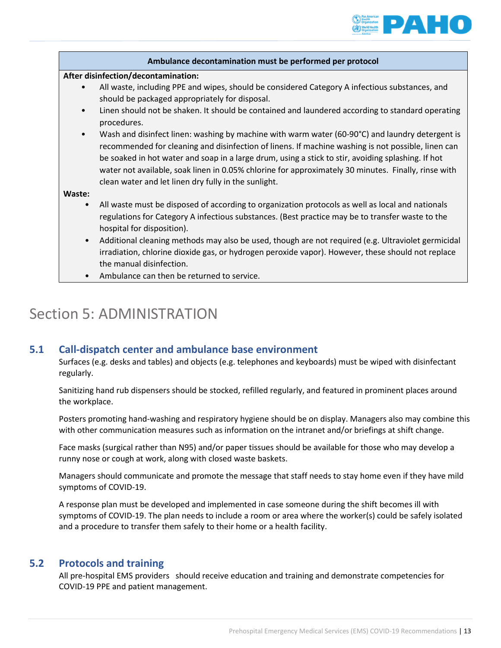

|           | Ambulance decontamination must be performed per protocol                                                                                                                                                                                                                                                                                                                                                                                                                   |
|-----------|----------------------------------------------------------------------------------------------------------------------------------------------------------------------------------------------------------------------------------------------------------------------------------------------------------------------------------------------------------------------------------------------------------------------------------------------------------------------------|
|           | After disinfection/decontamination:                                                                                                                                                                                                                                                                                                                                                                                                                                        |
|           | All waste, including PPE and wipes, should be considered Category A infectious substances, and<br>should be packaged appropriately for disposal.                                                                                                                                                                                                                                                                                                                           |
| $\bullet$ | Linen should not be shaken. It should be contained and laundered according to standard operating<br>procedures.                                                                                                                                                                                                                                                                                                                                                            |
| $\bullet$ | Wash and disinfect linen: washing by machine with warm water (60-90°C) and laundry detergent is<br>recommended for cleaning and disinfection of linens. If machine washing is not possible, linen can<br>be soaked in hot water and soap in a large drum, using a stick to stir, avoiding splashing. If hot<br>water not available, soak linen in 0.05% chlorine for approximately 30 minutes. Finally, rinse with<br>clean water and let linen dry fully in the sunlight. |
| Waste:    |                                                                                                                                                                                                                                                                                                                                                                                                                                                                            |
| $\bullet$ | All waste must be disposed of according to organization protocols as well as local and nationals<br>regulations for Category A infectious substances. (Best practice may be to transfer waste to the<br>hospital for disposition).                                                                                                                                                                                                                                         |
| $\bullet$ | Additional cleaning methods may also be used, though are not required (e.g. Ultraviolet germicidal<br>irradiation, chlorine dioxide gas, or hydrogen peroxide vapor). However, these should not replace<br>the manual disinfection.                                                                                                                                                                                                                                        |
| $\bullet$ | Ambulance can then be returned to service.                                                                                                                                                                                                                                                                                                                                                                                                                                 |

# <span id="page-13-0"></span>Section 5: ADMINISTRATION

# **5.1 Call-dispatch center and ambulance base environment**

Surfaces (e.g. desks and tables) and objects (e.g. telephones and keyboards) must be wiped with disinfectant regularly.

Sanitizing hand rub dispensers should be stocked, refilled regularly, and featured in prominent places around the workplace.

Posters promoting hand-washing and respiratory hygiene should be on display. Managers also may combine this with other communication measures such as information on the intranet and/or briefings at shift change.

Face masks (surgical rather than N95) and/or paper tissues should be available for those who may develop a runny nose or cough at work, along with closed waste baskets.

Managers should communicate and promote the message that staff needs to stay home even if they have mild symptoms of COVID-19.

A response plan must be developed and implemented in case someone during the shift becomes ill with symptoms of COVID-19. The plan needs to include a room or area where the worker(s) could be safely isolated and a procedure to transfer them safely to their home or a health facility.

# **5.2 Protocols and training**

All pre-hospital EMS providers should receive education and training and demonstrate competencies for COVID-19 PPE and patient management.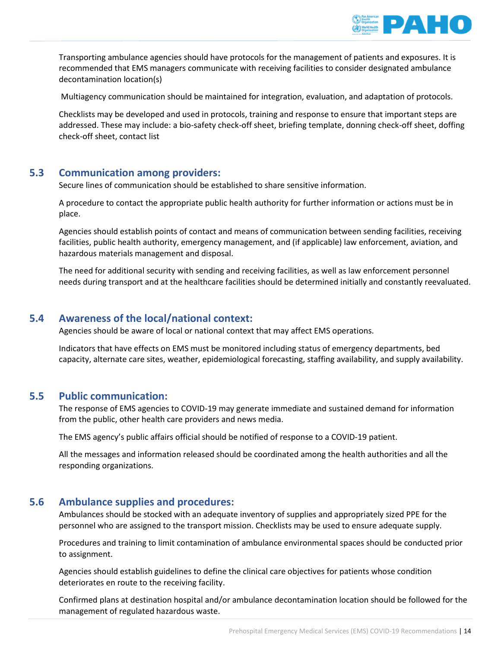

Transporting ambulance agencies should have protocols for the management of patients and exposures. It is recommended that EMS managers communicate with receiving facilities to consider designated ambulance decontamination location(s)

Multiagency communication should be maintained for integration, evaluation, and adaptation of protocols.

Checklists may be developed and used in protocols, training and response to ensure that important steps are addressed. These may include: a bio-safety check-off sheet, briefing template, donning check-off sheet, doffing check-off sheet, contact list

## **5.3 Communication among providers:**

Secure lines of communication should be established to share sensitive information.

A procedure to contact the appropriate public health authority for further information or actions must be in place.

Agencies should establish points of contact and means of communication between sending facilities, receiving facilities, public health authority, emergency management, and (if applicable) law enforcement, aviation, and hazardous materials management and disposal.

The need for additional security with sending and receiving facilities, as well as law enforcement personnel needs during transport and at the healthcare facilities should be determined initially and constantly reevaluated.

## **5.4 Awareness of the local/national context:**

Agencies should be aware of local or national context that may affect EMS operations.

Indicators that have effects on EMS must be monitored including status of emergency departments, bed capacity, alternate care sites, weather, epidemiological forecasting, staffing availability, and supply availability.

#### **5.5 Public communication:**

The response of EMS agencies to COVID-19 may generate immediate and sustained demand for information from the public, other health care providers and news media.

The EMS agency's public affairs official should be notified of response to a COVID-19 patient.

All the messages and information released should be coordinated among the health authorities and all the responding organizations.

## **5.6 Ambulance supplies and procedures:**

Ambulances should be stocked with an adequate inventory of supplies and appropriately sized PPE for the personnel who are assigned to the transport mission. Checklists may be used to ensure adequate supply.

Procedures and training to limit contamination of ambulance environmental spaces should be conducted prior to assignment.

Agencies should establish guidelines to define the clinical care objectives for patients whose condition deteriorates en route to the receiving facility.

Confirmed plans at destination hospital and/or ambulance decontamination location should be followed for the management of regulated hazardous waste.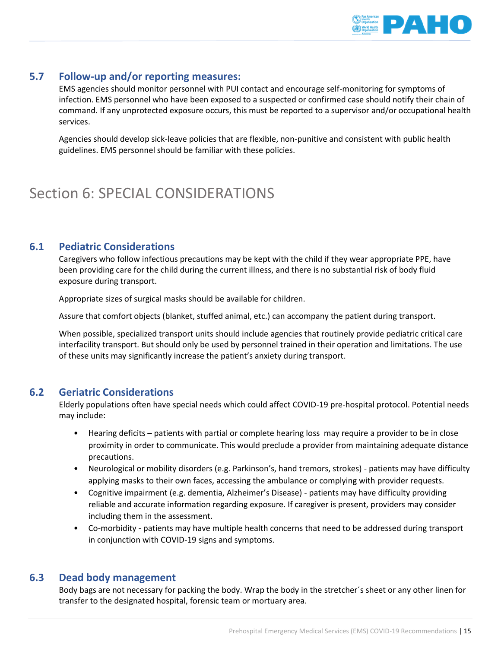

# **5.7 Follow-up and/or reporting measures:**

EMS agencies should monitor personnel with PUI contact and encourage self-monitoring for symptoms of infection. EMS personnel who have been exposed to a suspected or confirmed case should notify their chain of command. If any unprotected exposure occurs, this must be reported to a supervisor and/or occupational health services.

Agencies should develop sick-leave policies that are flexible, non-punitive and consistent with public health guidelines. EMS personnel should be familiar with these policies.

# <span id="page-15-0"></span>Section 6: SPECIAL CONSIDERATIONS

## **6.1 Pediatric Considerations**

Caregivers who follow infectious precautions may be kept with the child if they wear appropriate PPE, have been providing care for the child during the current illness, and there is no substantial risk of body fluid exposure during transport.

Appropriate sizes of surgical masks should be available for children.

Assure that comfort objects (blanket, stuffed animal, etc.) can accompany the patient during transport.

When possible, specialized transport units should include agencies that routinely provide pediatric critical care interfacility transport. But should only be used by personnel trained in their operation and limitations. The use of these units may significantly increase the patient's anxiety during transport.

# **6.2 Geriatric Considerations**

Elderly populations often have special needs which could affect COVID-19 pre-hospital protocol. Potential needs may include:

- Hearing deficits patients with partial or complete hearing loss may require a provider to be in close proximity in order to communicate. This would preclude a provider from maintaining adequate distance precautions.
- Neurological or mobility disorders (e.g. Parkinson's, hand tremors, strokes) patients may have difficulty applying masks to their own faces, accessing the ambulance or complying with provider requests.
- Cognitive impairment (e.g. dementia, Alzheimer's Disease) patients may have difficulty providing reliable and accurate information regarding exposure. If caregiver is present, providers may consider including them in the assessment.
- Co-morbidity patients may have multiple health concerns that need to be addressed during transport in conjunction with COVID-19 signs and symptoms.

# **6.3 Dead body management**

Body bags are not necessary for packing the body. Wrap the body in the stretcher´s sheet or any other linen for transfer to the designated hospital, forensic team or mortuary area.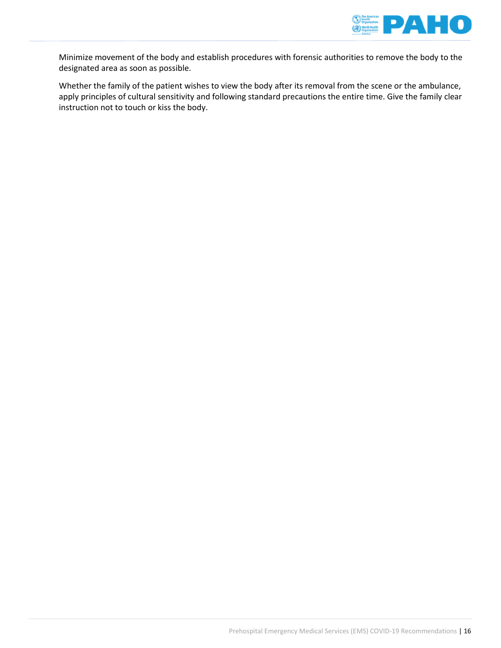

Minimize movement of the body and establish procedures with forensic authorities to remove the body to the designated area as soon as possible.

Whether the family of the patient wishes to view the body after its removal from the scene or the ambulance, apply principles of cultural sensitivity and following standard precautions the entire time. Give the family clear instruction not to touch or kiss the body.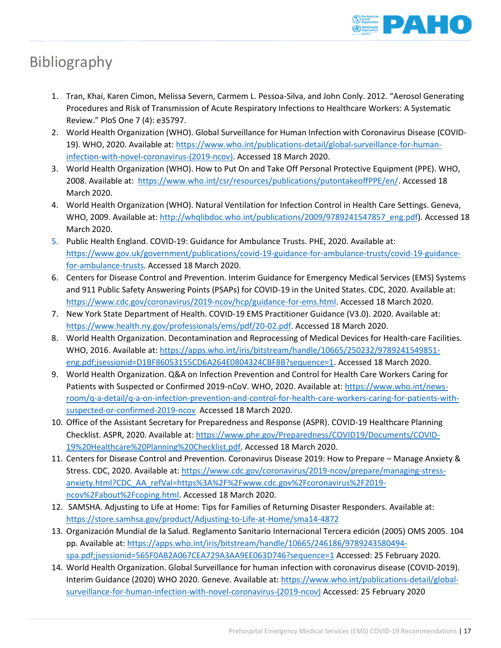

# <span id="page-17-0"></span>Bibliography

- 1. Tran, Khai, Karen Cimon, Melissa Severn, Carmem L. Pessoa-Silva, and John Conly. 2012. "Aerosol Generating Procedures and Risk of Transmission of Acute Respiratory Infections to Healthcare Workers: A Systematic Review." PloS One 7 (4): e35797.
- 2. World Health Organization (WHO). Global Surveillance for Human Infection with Coronavirus Disease (COVID19). WHO, 2020. Available at: [https://www.who.int/publications-detail/global-surveillance-for-human](https://www.who.int/publications-detail/global-surveillance-for-human-infection-with-novel-coronavirus-(2019-ncov))[infection-with-novel-coronavirus-\(2019-ncov\).](https://www.who.int/publications-detail/global-surveillance-for-human-infection-with-novel-coronavirus-(2019-ncov)) Accessed 18 March 2020.
- 3. World Health Organization (WHO). How to Put On and Take Off Personal Protective Equipment (PPE). WHO, 2008. Available at: [https://www.who.int/csr/resources/publications/putontakeoffPPE/en/.](https://www.who.int/csr/resources/publications/putontakeoffPPE/en/) Accessed 18 March 2020.
- 4. World Health Organization (WHO). Natural Ventilation for Infection Control in Health Care Settings. Geneva, WHO, 2009. Available at: [http://whqlibdoc.who.int/publications/2009/9789241547857\\_eng.pdf\)](http://whqlibdoc.who.int/publications/2009/9789241547857_eng.pdf). Accessed 18 March 2020.
- 5. Public Health England. COVID-19: Guidance for Ambulance Trusts. PHE, 2020. Available at: [https://www.gov.uk/government/publications/covid-19-guidance-for-ambulance-trusts/covid-19-guidance](https://www.gov.uk/government/publications/covid-19-guidance-for-ambulance-trusts/covid-19-guidance-for-ambulance-trusts)[for-ambulance-trusts.](https://www.gov.uk/government/publications/covid-19-guidance-for-ambulance-trusts/covid-19-guidance-for-ambulance-trusts) Accessed 18 March 2020.
- 6. Centers for Disease Control and Prevention. Interim Guidance for Emergency Medical Services (EMS) Systems and 911 Public Safety Answering Points (PSAPs) for COVID-19 in the United States. CDC, 2020. Available at: [https://www.cdc.gov/coronavirus/2019-ncov/hcp/guidance-for-ems.html.](https://www.cdc.gov/coronavirus/2019-ncov/hcp/guidance-for-ems.html) Accessed 18 March 2020.
- 7. New York State Department of Health. COVID-19 EMS Practitioner Guidance (V3.0). 2020. Available at: [https://www.health.ny.gov/professionals/ems/pdf/20-02.pdf.](https://www.health.ny.gov/professionals/ems/pdf/20-02.pdf) Accessed 18 March 2020.
- 8. World Health Organization. Decontamination and Reprocessing of Medical Devices for Health-care Facilities. WHO, 2016. Available at: [https://apps.who.int/iris/bitstream/handle/10665/250232/9789241549851](https://apps.who.int/iris/bitstream/handle/10665/250232/9789241549851-eng.pdf;jsessionid=D1BF86053155CD6A264E0804324CBF8B?sequence=1) [eng.pdf;jsessionid=D1BF86053155CD6A264E0804324CBF8B?sequence=1.](https://apps.who.int/iris/bitstream/handle/10665/250232/9789241549851-eng.pdf;jsessionid=D1BF86053155CD6A264E0804324CBF8B?sequence=1) Accessed 18 March 2020.
- 9. World Health Organization. Q&A on Infection Prevention and Control for Health Care Workers Caring for Patients with Suspected or Confirmed 2019-nCoV. WHO, 2020. Available at[: https://www.who.int/news](https://www.who.int/news-room/q-a-detail/q-a-on-infection-prevention-and-control-for-health-care-workers-caring-for-patients-with-suspected-or-confirmed-2019-ncov)[room/q-a-detail/q-a-on-infection-prevention-and-control-for-health-care-workers-caring-for-patients-with](https://www.who.int/news-room/q-a-detail/q-a-on-infection-prevention-and-control-for-health-care-workers-caring-for-patients-with-suspected-or-confirmed-2019-ncov)[suspected-or-confirmed-2019-ncov](https://www.who.int/news-room/q-a-detail/q-a-on-infection-prevention-and-control-for-health-care-workers-caring-for-patients-with-suspected-or-confirmed-2019-ncov) Accessed 18 March 2020.
- 10. Office of the Assistant Secretary for Preparedness and Response (ASPR). COVID-19 Healthcare Planning Checklist. ASPR, 2020. Available at[: https://www.phe.gov/Preparedness/COVID19/Documents/COVID-](https://www.phe.gov/Preparedness/COVID19/Documents/COVID-19%20Healthcare%20Planning%20Checklist.pdf)[19%20Healthcare%20Planning%20Checklist.pdf.](https://www.phe.gov/Preparedness/COVID19/Documents/COVID-19%20Healthcare%20Planning%20Checklist.pdf) Accessed 18 March 2020.
- 11. Centers for Disease Control and Prevention. Coronavirus Disease 2019: How to Prepare Manage Anxiety & Stress. CDC, 2020. Available at: [https://www.cdc.gov/coronavirus/2019-ncov/prepare/managing-stress](https://www.cdc.gov/coronavirus/2019-ncov/prepare/managing-stress-anxiety.html?CDC_AA_refVal=https%3A%2F%2Fwww.cdc.gov%2Fcoronavirus%2F2019-ncov%2Fabout%2Fcoping.html)[anxiety.html?CDC\\_AA\\_refVal=https%3A%2F%2Fwww.cdc.gov%2Fcoronavirus%2F2019](https://www.cdc.gov/coronavirus/2019-ncov/prepare/managing-stress-anxiety.html?CDC_AA_refVal=https%3A%2F%2Fwww.cdc.gov%2Fcoronavirus%2F2019-ncov%2Fabout%2Fcoping.html) [ncov%2Fabout%2Fcoping.html.](https://www.cdc.gov/coronavirus/2019-ncov/prepare/managing-stress-anxiety.html?CDC_AA_refVal=https%3A%2F%2Fwww.cdc.gov%2Fcoronavirus%2F2019-ncov%2Fabout%2Fcoping.html) Accessed 18 March 2020.
- 12. SAMSHA. Adjusting to Life at Home: Tips for Families of Returning Disaster Responders. Available at: <https://store.samhsa.gov/product/Adjusting-to-Life-at-Home/sma14-4872>
- 13. Organización Mundial de la Salud. Reglamento Sanitario Internacional Tercera edición (2005) OMS 2005. 104 pp. Available at: [https://apps.who.int/iris/bitstream/handle/10665/246186/9789243580494](https://apps.who.int/iris/bitstream/handle/10665/246186/9789243580494-spa.pdf;jsessionid=565F0AB2A067CEA729A3AA9EE063D746?sequence=1) [spa.pdf;jsessionid=565F0AB2A067CEA729A3AA9EE063D746?sequence=1](https://apps.who.int/iris/bitstream/handle/10665/246186/9789243580494-spa.pdf;jsessionid=565F0AB2A067CEA729A3AA9EE063D746?sequence=1) Accessed: 25 February 2020.
- 14. World Health Organization. Global Surveillance for human infection with coronavirus disease (COVID-2019). Interim Guidance (2020) WHO 2020. Geneve. Available at: [https://www.who.int/publications-detail/global](https://www.who.int/publications-detail/global-surveillance-for-human-infection-with-novel-coronavirus-(2019-ncov))[surveillance-for-human-infection-with-novel-coronavirus-\(2019-ncov\)](https://www.who.int/publications-detail/global-surveillance-for-human-infection-with-novel-coronavirus-(2019-ncov)) Accessed: 25 February 2020